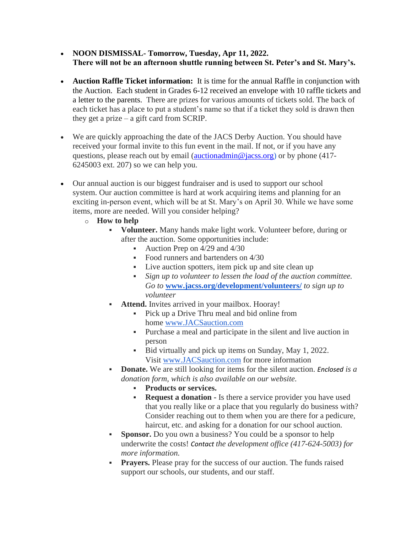- **NOON DISMISSAL- Tomorrow, Tuesday, Apr 11, 2022. There will not be an afternoon shuttle running between St. Peter's and St. Mary's.**
- **Auction Raffle Ticket information:** It is time for the annual Raffle in conjunction with the Auction. Each student in Grades 6-12 received an envelope with 10 raffle tickets and a letter to the parents. There are prizes for various amounts of tickets sold. The back of each ticket has a place to put a student's name so that if a ticket they sold is drawn then they get a prize – a gift card from SCRIP.
- We are quickly approaching the date of the JACS Derby Auction. You should have received your formal invite to this fun event in the mail. If not, or if you have any questions, please reach out by email [\(auctionadmin@jacss.org\)](mailto:auctionadmin@jacss.org) or by phone (417- 6245003 ext. 207) so we can help you.
- Our annual auction is our biggest fundraiser and is used to support our school system. Our auction committee is hard at work acquiring items and planning for an exciting in-person event, which will be at St. Mary's on April 30. While we have some items, more are needed. Will you consider helping?
	- o **How to help**
		- **Volunteer.** Many hands make light work. Volunteer before, during or after the auction. Some opportunities include:
			- **•** Auction Prep on  $4/29$  and  $4/30$
			- Food runners and bartenders on 4/30
			- Live auction spotters, item pick up and site clean up
			- *Sign up to volunteer to lessen the load of the auction committee. Go to* **[www.jacss.org/development/volunteers/](http://www.jacss.org/development/volunteers/)** *to sign up to volunteer*
		- **Attend.** Invites arrived in your mailbox. Hooray!
			- **•** Pick up a Drive Thru meal and bid online from home [www.JACSauction.com](http://www.jacsauction.com/)
			- Purchase a meal and participate in the silent and live auction in person
			- Bid virtually and pick up items on Sunday, May 1, 2022. Visit [www.JACSauction.com](http://www.jacsauction.com/) for more information
		- **Donate.** We are still looking for items for the silent auction. *Enclosed is a donation form, which is also available on our website.*
			- **Products or services.**
			- **Request a donation -** Is there a service provider you have used that you really like or a place that you regularly do business with? Consider reaching out to them when you are there for a pedicure, haircut, etc. and asking for a donation for our school auction.
		- **Sponsor.** Do you own a business? You could be a sponsor to help underwrite the costs! *Contact the development office (417-624-5003) for more information.*
		- **Prayers.** Please pray for the success of our auction. The funds raised support our schools, our students, and our staff.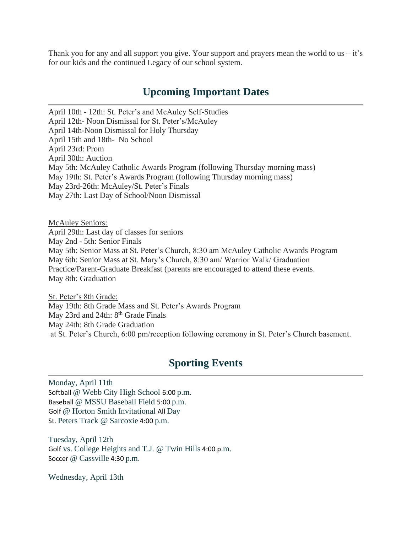Thank you for any and all support you give. Your support and prayers mean the world to us  $-i\dot{t}$ 's for our kids and the continued Legacy of our school system.

## **Upcoming Important Dates**

April 10th - 12th: St. Peter's and McAuley Self-Studies April 12th- Noon Dismissal for St. Peter's/McAuley April 14th-Noon Dismissal for Holy Thursday April 15th and 18th- No School April 23rd: Prom April 30th: Auction May 5th: McAuley Catholic Awards Program (following Thursday morning mass) May 19th: St. Peter's Awards Program (following Thursday morning mass) May 23rd-26th: McAuley/St. Peter's Finals May 27th: Last Day of School/Noon Dismissal

McAuley Seniors: April 29th: Last day of classes for seniors May 2nd - 5th: Senior Finals May 5th: Senior Mass at St. Peter's Church, 8:30 am McAuley Catholic Awards Program May 6th: Senior Mass at St. Mary's Church, 8:30 am/ Warrior Walk/ Graduation Practice/Parent-Graduate Breakfast (parents are encouraged to attend these events. May 8th: Graduation

St. Peter's 8th Grade: May 19th: 8th Grade Mass and St. Peter's Awards Program May 23rd and 24th: 8<sup>th</sup> Grade Finals May 24th: 8th Grade Graduation at St. Peter's Church, 6:00 pm/reception following ceremony in St. Peter's Church basement.

## **Sporting Events**

Monday, April 11th Softball @ Webb City High School 6:00 p.m. Baseball @ MSSU Baseball Field 5:00 p.m. Golf @ Horton Smith Invitational All Day St. Peters Track @ Sarcoxie 4:00 p.m.

Tuesday, April 12th Golf vs. College Heights and T.J. @ Twin Hills 4:00 p.m. Soccer @ Cassville 4:30 p.m.

Wednesday, April 13th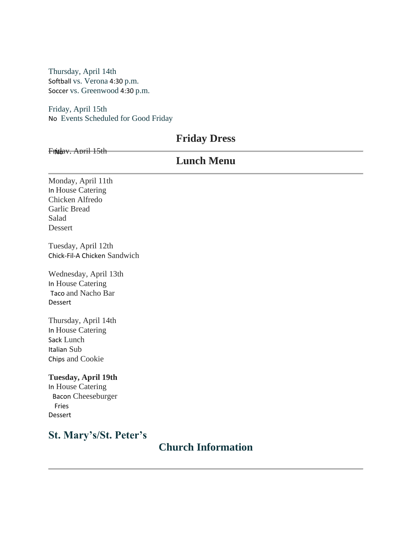Thursday, April 14th Softball vs. Verona 4:30 p.m. Soccer vs. Greenwood 4:30 p.m.

Friday, April 15th No Events Scheduled for Good Friday

## **Friday Dress**

Fridav. April 15th

|                                                                                                  | <b>Lunch Menu</b>                    |  |
|--------------------------------------------------------------------------------------------------|--------------------------------------|--|
| Monday, April 11th<br>In House Catering<br>Chicken Alfredo<br>Garlic Bread<br>Salad<br>Dessert   |                                      |  |
| Tuesday, April 12th<br>Chick-Fil-A Chicken Sandwich                                              |                                      |  |
| Wednesday, April 13th<br>In House Catering<br>Taco and Nacho Bar<br>Dessert                      |                                      |  |
| Thursday, April 14th<br>In House Catering<br>Sack Lunch<br>Italian Sub<br>Chips and Cookie       |                                      |  |
| <b>Tuesday, April 19th</b><br>In House Catering<br><b>Bacon Cheeseburger</b><br>Fries<br>Dessert |                                      |  |
| <b>St. Mary's/St. Peter's</b>                                                                    | $\mathbf{A}$<br>$\Omega$ if $\Omega$ |  |

## **Church Information**